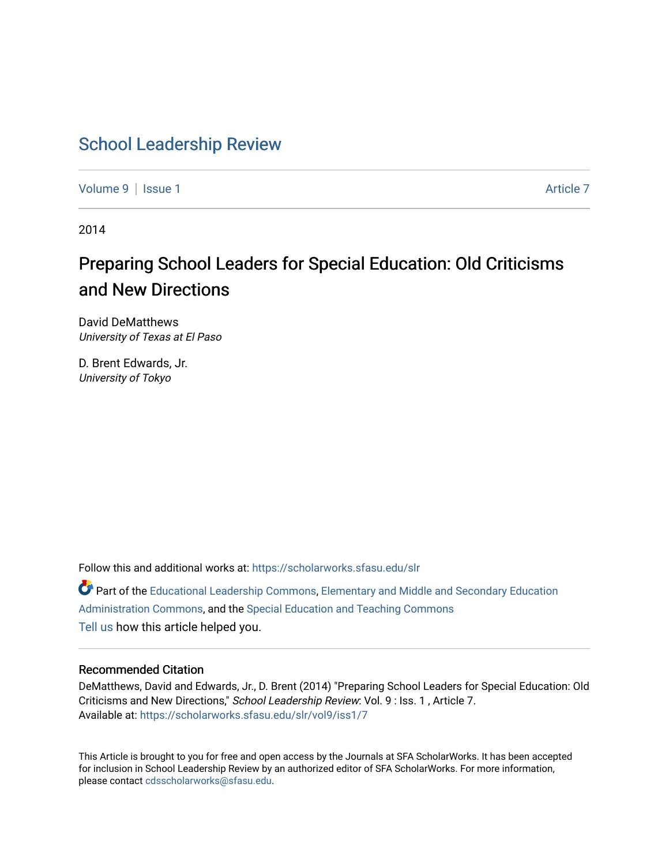### [School Leadership Review](https://scholarworks.sfasu.edu/slr)

[Volume 9](https://scholarworks.sfasu.edu/slr/vol9) | [Issue 1](https://scholarworks.sfasu.edu/slr/vol9/iss1) Article 7

2014

### Preparing School Leaders for Special Education: Old Criticisms and New Directions

David DeMatthews University of Texas at El Paso

D. Brent Edwards, Jr. University of Tokyo

Follow this and additional works at: [https://scholarworks.sfasu.edu/slr](https://scholarworks.sfasu.edu/slr?utm_source=scholarworks.sfasu.edu%2Fslr%2Fvol9%2Fiss1%2F7&utm_medium=PDF&utm_campaign=PDFCoverPages) 

Part of the [Educational Leadership Commons,](http://network.bepress.com/hgg/discipline/1230?utm_source=scholarworks.sfasu.edu%2Fslr%2Fvol9%2Fiss1%2F7&utm_medium=PDF&utm_campaign=PDFCoverPages) [Elementary and Middle and Secondary Education](http://network.bepress.com/hgg/discipline/790?utm_source=scholarworks.sfasu.edu%2Fslr%2Fvol9%2Fiss1%2F7&utm_medium=PDF&utm_campaign=PDFCoverPages)  [Administration Commons,](http://network.bepress.com/hgg/discipline/790?utm_source=scholarworks.sfasu.edu%2Fslr%2Fvol9%2Fiss1%2F7&utm_medium=PDF&utm_campaign=PDFCoverPages) and the [Special Education and Teaching Commons](http://network.bepress.com/hgg/discipline/801?utm_source=scholarworks.sfasu.edu%2Fslr%2Fvol9%2Fiss1%2F7&utm_medium=PDF&utm_campaign=PDFCoverPages)  [Tell us](http://sfasu.qualtrics.com/SE/?SID=SV_0qS6tdXftDLradv) how this article helped you.

#### Recommended Citation

DeMatthews, David and Edwards, Jr., D. Brent (2014) "Preparing School Leaders for Special Education: Old Criticisms and New Directions," School Leadership Review: Vol. 9 : Iss. 1 , Article 7. Available at: [https://scholarworks.sfasu.edu/slr/vol9/iss1/7](https://scholarworks.sfasu.edu/slr/vol9/iss1/7?utm_source=scholarworks.sfasu.edu%2Fslr%2Fvol9%2Fiss1%2F7&utm_medium=PDF&utm_campaign=PDFCoverPages) 

This Article is brought to you for free and open access by the Journals at SFA ScholarWorks. It has been accepted for inclusion in School Leadership Review by an authorized editor of SFA ScholarWorks. For more information, please contact [cdsscholarworks@sfasu.edu.](mailto:cdsscholarworks@sfasu.edu)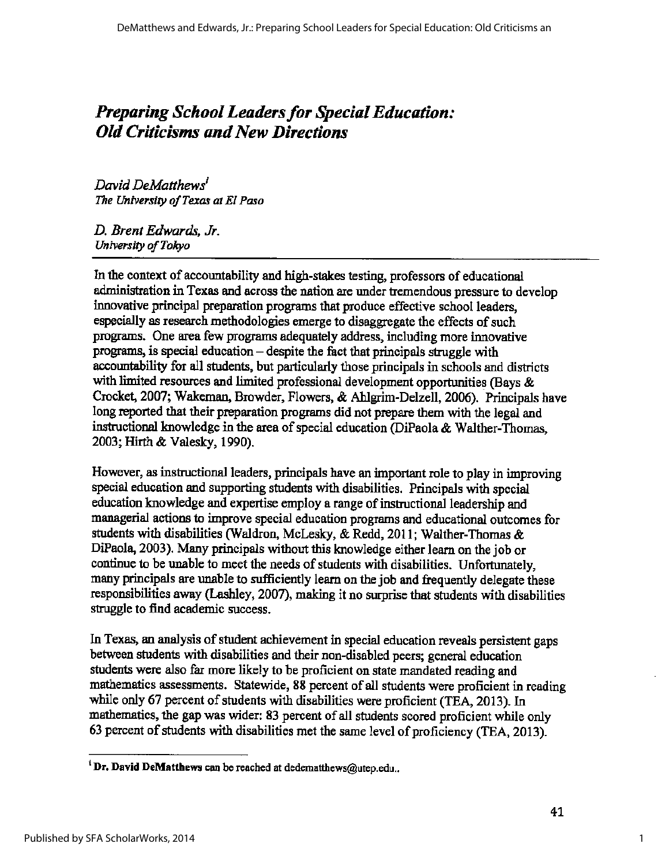### **Preparing School Leaders for Special Education:** *Old Criticisms and New Directions*

*David DeMatthews' 1'he University of Texas at El Paso* 

*D. Brent Edwards, Jr. University of Tokyo* 

In the context of accountability and high-stakes testing, professors of educational administration in Texas and across the nation are under tremendous pressure to develop innovative principal preparation programs that produce effective school leaders, especially as research methodologies emerge to disaggregate the effects of such programs. One area few programs adequately address, including more innovative programs, is special education  $-$  despite the fact that principals struggle with. accountability for all students, but particularly those principals in schools and districts with limited resources and limited professional development opportunities (Bays  $&$ Crocket, 2007; Wakeman, Browder, Flowers, & Ahlgrim-Delzell, 2006). Principals have long reported that their preparation programs did not prepare them with the legal and instructional knowledge in the area of special education (DiPaola & Walther-Thomas, 2003; Hirth & Valesky, 1990).

However, as instructional leaders, principals have an important role to play in improving special education and supporting students with disabilities. Principals with special education knowledge and expertise employ a range of instructional leadership and managerial actions to improve special education programs and educational outcomes for students with disabilities (Waldron, McLesky, & Redd, 2011; Walther-Thomas & DiPaola, 2003). Many principals without this lmowledge either learn on the job or continue to be unable to meet the needs of students with disabilities. Unfortunately, many principals are unable to sufficiently learn on the job and frequently delegate these responsibilities away (Lashley, 2007), making it no surprise that students with disabilities struggle to find academic success.

In Texas, an analysis of student achievement in special education reveals persistent gaps between students with disabilities and their non-disabled peers; general education students were also far more likely to be proficient on state mandated reading and mathematics assessments. Statewide, 88 percent of all students were proficient in reading while only 67 percent of students with disabilities were proficient (TEA, 2013). In mathematics, the gap was wider: 83 percent of all students scored proficient while only 63 percent of students with disabilities met the same level of proficiency (TEA, 2013).

<sup>&</sup>lt;sup>1</sup> Dr. David DeMatthews can be reached at dedematthews@utep.edu..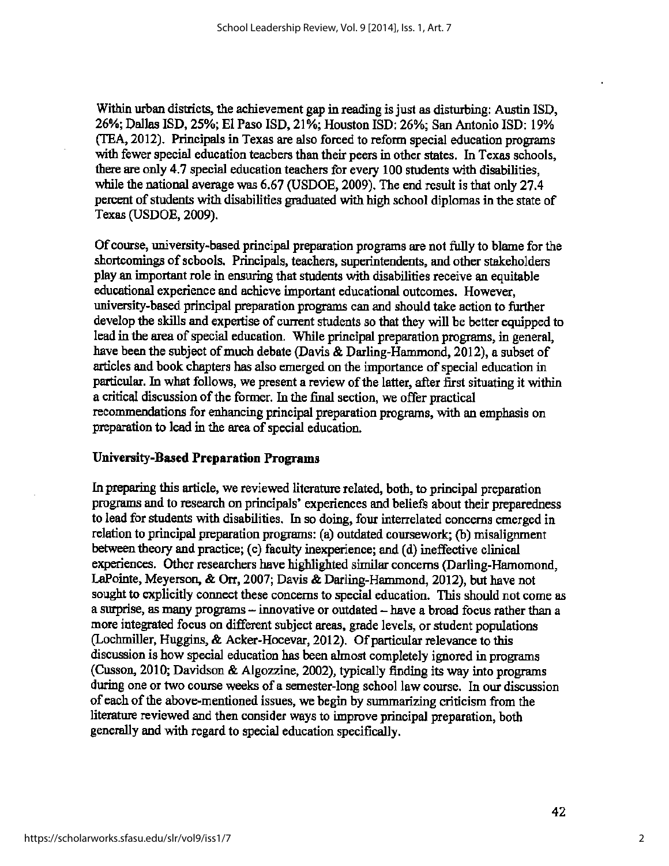Within urban districts, the achievement gap in reading is just as disturbing: Austin ISD, 26%; Dallas ISD, 25%; El Paso ISD, 21%; Houston ISD: 26%; San Antonio ISD: 19% (TEA, 2012). Principals in Texas are also forced to reform special education programs with fewer special education teachers than their peers in other states. In Texas schools, there are only 4.7 special education teachers for every 100 students with disabilities, while the national average was 6.67 (USDOE, 2009). The end result is that only 27.4 percent of students with disabilities graduated with high school diplomas in the state of Texas (USDOE, 2009).

Of course, university-based principal preparation programs are not fully to blame for the shortcomings of schools. Principals, teachers, superintendents, and other stakeholders play an important role in ensuring that students with disabilities receive an equitable educational experience and achieve important educational outcomes. However, university-based principal preparation programs can and should take action to further develop the skills and expertise of current students so that they will be better equipped to lead in the area of special education. While principal preparation programs, in general, have been the subject of much debate (Davis & Darling-Hammond, 2012), a subset of articles and book chapters has also emerged on the importance of special education in particular. In what follows, we present a review of the latter, after first situating it within a critical discussion of the former. In the final section, we offer practical recommendations for enhancing principal preparation programs, with an emphasis on preparation to lead in the area of special education.

#### **University-Based Preparation Programs**

In preparing this article, we reviewed literature related, both, to principal preparation programs and to research on principals' experiences and beliefs about their preparedness to lead for students with disabilities. In so doing, four interrelated concerns emerged in relation to principal preparation programs: (a) outdated coursework; (b) misalignment between theory and practice; (c) faculty inexperience; and (d) ineffective clinical experiences. Other researchers have highlighted similar concerns (Darling-Hamomond, LaPointe, Meyerson, & Orr, 2007; Davis & Darling-Hammond, 2012), but have not sought to explicitly connect these concerns to special education. This should not come as a surprise, as many programs  $-$  innovative or outdated  $-$  have a broad focus rather than a more integrated focus on different subject areas, grade levels, or student populations (Lochmiller, Huggins, & Acker-Hocevar, 2012). Of particular relevance to this discussion is how special education has been almost completely ignored in programs (Cusson, 2010; Davidson & Algozzine, 2002), typically finding its way into programs during one or two course weeks of a semester-long school law course. In our discussion of each of the above-mentioned issues, we begin by summarizing criticism from the literature reviewed and then consider ways to improve principal preparation, both generally and with regard to special education specifically.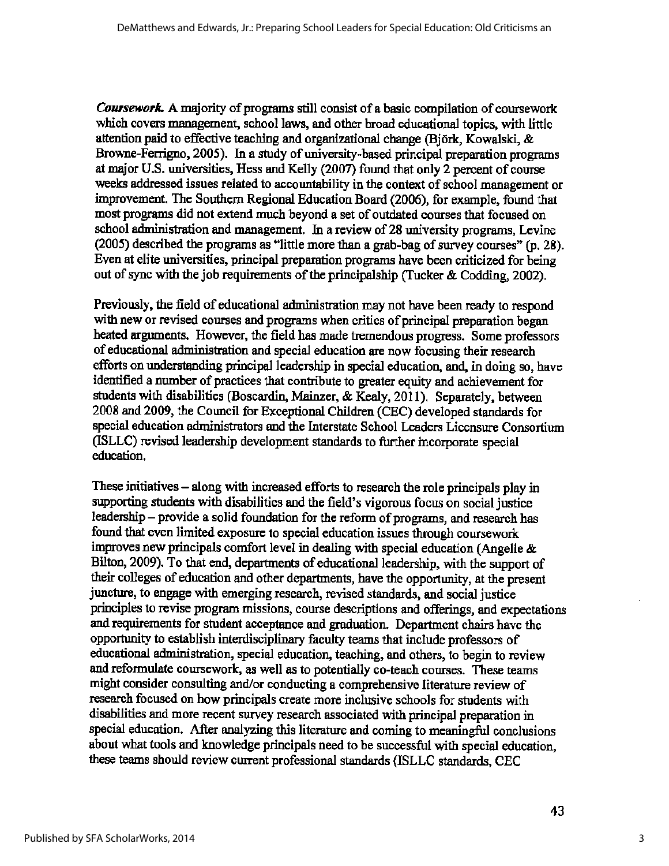*Coursework.* A majority of programs still consist of a basic compilation of coursework which covers management, school laws, and other broad educational topics, with little attention paid to effective teaching and organizational change (Bjork, Kowalski, & Browne-Ferrigno, 2005). In a study of university-based principal preparation programs at major U.S. universities, Hess and Kelly {2007) found that only 2 percent of course weeks addressed issues related to accountability in the context of school management or improvement. The Southern Regional Education Board {2006), for example, found that most programs did not extend much beyond a set of outdated courses that focused on school administration and management. In a review of 28 university programs, Levine (2005) described the programs *as* "little more than a grab-bag of survey courses" (p. 28). Even at elite universities, principal preparation programs have been criticized for being out of sync with the job requirements of the principalship (Tucker & Codding, 2002).

Previously, the field of educational administration may not have been ready to respond with new or revised courses and programs when critics of principal preparation began heated arguments. However, the field has made tremendous progress. Some professors of educational administration and special education are now focusing their research efforts on understanding principal leadership in special education, and, in doing so, have identified a number of practices that contribute to greater equity and achievement for students with disabilities (Boscardin, Mainzer, & Kealy, 2011). Separately, between 2008 and 2009, the Council for Exceptional Children {CEC) developed standards for special education administrators and the Interstate School Leaders Licensure Consortium (ISLLC) revised leadership development standards to further incorporate special education.

These initiatives – along with increased efforts to research the role principals play in supporting students with disabilities and the field's vigorous focus on social justice leadership – provide a solid foundation for the reform of programs, and research has found that even limited exposure to special education issues through coursework improves new principals comfort level in dealing with special education (Angelle & Bilton, 2009). To that end, departments of educational leadership, with the support of their colleges of education and other departments, have the opportunity, at the present juncture, to engage with emerging research, revised standards, and social justice principles to revise program missions, course descriptions and offerings, and expectations and requirements for student acceptance and graduation. Department chairs have the opportunity to establish interdisciplinary faculty teams that include professors of educational administration, special education, teaching, and others, to begin to review and reformulate coursework, *as* well as to potentially co-teach courses. These teams might consider consulting and/or conducting a comprehensive literature review of research focused on how principals create more inclusive schools for students with disabilities and more recent survey research associated with principal preparation in special education. After analyzing this literature and coming to meaningful conclusions about what tools and knowledge principals need to be successful with special education, these teams should review current professional standards (ISLLC standards, CEC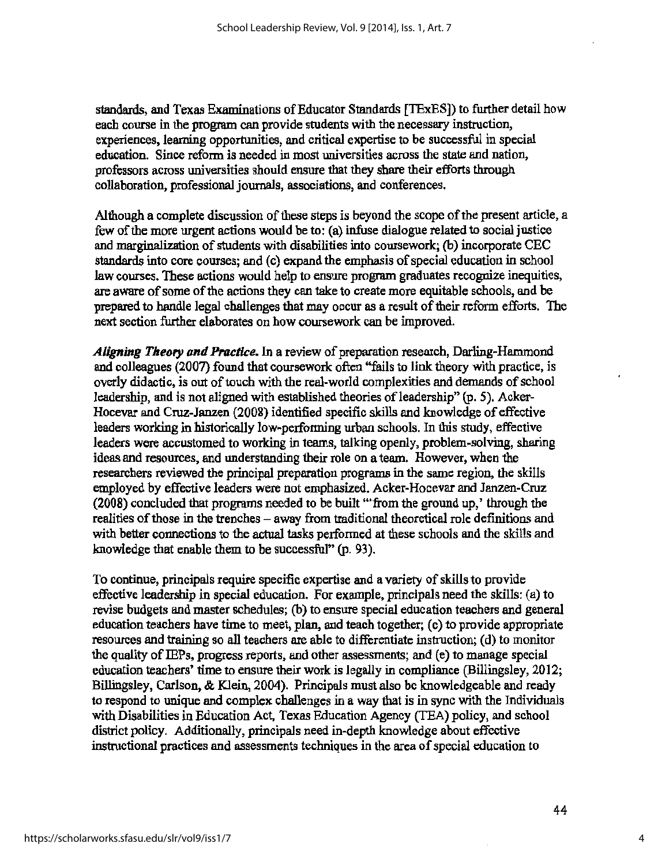standards, and Texas Examinations of Educator Standards [TExES]) to further detail how each course in the program can provide students with the necessary instruction, experiences, learning opportunities, and critical expertise to be successful in special education. Since reform is needed in most universities across the state and nation, professors across universities should ensure that they share their efforts through collaboration, professional journals, associations, and conferences.

Although a complete discussion of these steps is beyond the scope of the present article, a few of the more urgent actions would be to: (a) infuse dialogue related to social justice and marginalization of students with disabilities into coursework; (b) incorporate CBC standards into core courses; and (c) expand the emphasis of special education in school law courses. These actions would help to ensure program graduates recognize inequities, are aware of some of the actions they can take to create more equitable schools, and be prepared to handle legal challenges that may occur as a result of their reform efforts. The next section further elaborates on how coursework can be improved.

*Aligning Theory and Practice.* In a review of preparation research, Darling-Hammond and colleagues (2007) found that coursework often ''fails to link theory with practice, is overly didactic, is out of touch with the real-world complexities and demands of school leadership, and is not aligned with established theories of leadership" (p. 5). Acker-Hocevar and Cruz-Janzen (2008) identified specific skills and knowledge of effective leaders working in historically low-performing urban schools. In this study, effective leaders were accustomed to working in teams, talking openly, problem-solving, sharing ideas and resources, and understanding their role on a team. However, when the researchers reviewed the principal preparation programs in the same region, the skills employed by effective leaders were not emphasized. Acker-Hocevar and Janzen-Cruz (2008) concluded that programs needed to be built "'from the growid up,' through the realities of those in the trenches - away from traditional theoretical role definitions and with better connections to the actual tasks performed at these schools and the skills and knowledge that enable them to be successful" (p. 93).

To continue, principals require specific expertise and a variety of skills to provide effective leadership in special education. For example, principals need the skills: (a) to revise budgets and master schedules; (b) to ensure special education teachers and general education teachers have time to meet, plan, and teach together; (c) to provide appropriate resources and training so all teachers are able to differentiate instruction; (d) to monitor the quality of IEPs, progress reports, and other assessments; and (e) to manage special education teachers' time to ensure their work is legally in compliance (Billingsley, 2012; Billingsley, Carlson, & Klein, 2004). Principals must also be knowledgeable and ready to respond to unique and complex challenges in a way that is in sync with the Individuals with Disabilities in Education Act, Texas Education Agency (TEA) policy, and school district policy. Additionally, principals need in-depth knowledge about effective instructional practices and assessments techniques in the area of special education to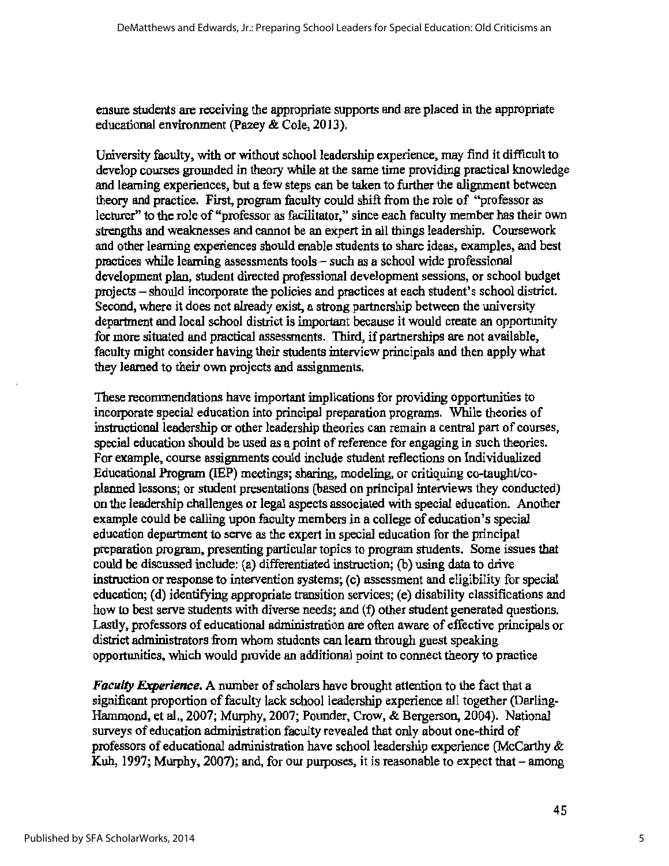ensure students are receiving the appropriate supports and are placed in the appropriate educational environment (Pazey & Cole, 2013).

University faculty, with or without school leadership experience, may find it difficult to develop courses grounded in theory while at the same time providing practical knowledge and learning experiences, but a few steps can be taken to further the alignment between theory and practice. First, program faculty could shift from the role of "professor as lecturer" to the role of "professor as facilitator," since each faculty member has their own strengths and weaknesses and cannot be an expert in all things leadership. Coursework and other learning experiences should enable students to share ideas, examples, and best practices while learning assessments tools - such as a school wide professional development plan, student directed professional development sessions, or school budget projects- should incorporate the policies and practices at each student's school district. Second, where it does not already exist, a strong partnership between the university department and local school district is important because it would create an opportunity for more situated and practical assessments. Third, if partnerships are not available, faculty might consider having their students interview principals and then apply what they learned to their own projects and assignments.

These recommendations have important implications for providing opportunities to incorporate special education into principal preparation programs. While theories of instructional leadership or other leadership theories can remain a central part of courses, special education should be used as a point of reference for engaging in such theories. For example, course assignments could include student reflections on Individualized Educational Program (IBP) meetings; sharing, modeling, or critiquing co-taught/coplanned lessons; or student presentations (based on principal interviews they conducted) on the leadership challenges or legal aspects associated with special education. Another example could be calling upon faculty members in a college of education's special education department to serve as the expert in special education for the principal preparation program, presenting particular topics to program students. Some issues that could be discussed include: (a) differentiated instruction; (b) using data to drive instruction or response to intervention systems; (c) assessment and eligibility for special education; (d) identifying appropriate transition services; (e) disability classifications and how to best serve students with diverse needs; and (f) other student generated questions. Lastly, professors of educational administration are often aware of effective principals or district administrators from whom students can learn through guest speaking opportunities, which would provide an additional point to connect theory to practice

*Faculty Experience.* A number of scholars have brought attention to the fact that a significant proportion of faculty lack school leadership experience all together (Darling-Hammond, et al., 2007; Murphy, 2007; Pounder, Crow, & Bergerson, 2004). National surveys of education administration faculty revealed that only about one-third of professors of educational administration have school leadership experience (McCarthy & Kuh, 1997; Murphy, 2007); and, for our purposes, it is reasonable to expect that- among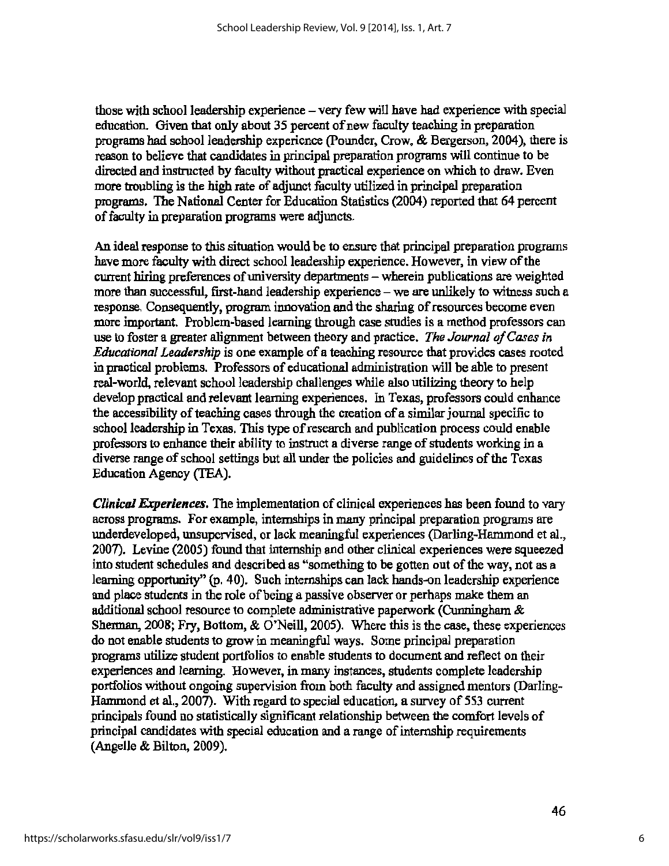those with school leadership experience – very few will have had experience with special education. Given that only about 35 percent of new faculty teaching in preparation programs had school leadership experience (Pounder, Crow, & Bergerson, 2004), there is reason to believe that candidates in principal preparation programs will continue to be directed and instructed by faculty without practical experience on which to draw. Even more troubling is the high rate of adjunct faculty utilized in principal preparation programs. The National Center for Education Statistics (2004) reported that 64 percent of faculty in preparation programs were adjuncts.

An ideal response to this situation would be to ensure that principal preparation programs have more faculty with direct school leadership experience. However, in view of the current hiring preferences of university departments - wherein publications are weighted more than successful, first-hand leadership experience - we are unlikely to witness such a response. Consequently, program innovation and the sharing of resources become even more important. Problem-based learning through case studies is a method professors can use to foster a greater alignment between theory and practice. *The Journal of Cases in Educational Leadership* is one example of a teaching resource that provides cases rooted in practical problems. Professors of educational administration will be able to present real-world, relevant school leadership challenges while also utilizing theory to help develop practical and relevant learning experiences. In Texas, professors could enhance the accessibility of teaching cases through the creation of a similar journal specific to school leadership in Texas. This type of research and publication process could enable professors to enhance their ability to instruct a diverse range of students working in a diverse range of school settings but all under the policies and guidelines of the Texas Education Agency (TEA).

*Clinical Experiences.* The implementation of clinical experiences has been found to vary across programs. For example, internships in many principal preparation programs are underdeveloped, unsupervised, or lack meaningful experiences (Darling-Hammond et al., 2007). Levine (2005) found that internship and other clinical experiences were squeezed into student schedules and described *as* "something to be gotten out of the way, not as a learning opportunity" (p. 40). Such internships can lack hands-on leadership experience and place students in the role of being a passive observer or perhaps make them an additional school resource to complete administrative paperwork (Cwmingham & Sherman, 2008; Fry, Bottom, & O'Neill, 2005). Where this is the case, these experiences do not enable students to grow in meaningful ways. Some principal preparation programs utilize student portfolios to enable students to document and reflect on their experiences and learning. However, in many instances, students complete leadership portfolios without ongoing supervision from both faculty and assigned mentors (Darling-Hammond et al., 2007). With regard to special education, a survey of 553 current principals found no statistically significant relationship between the comfort levels of principal candidates with special education and a range of internship requirements (Angelle & Bilton, 2009).

6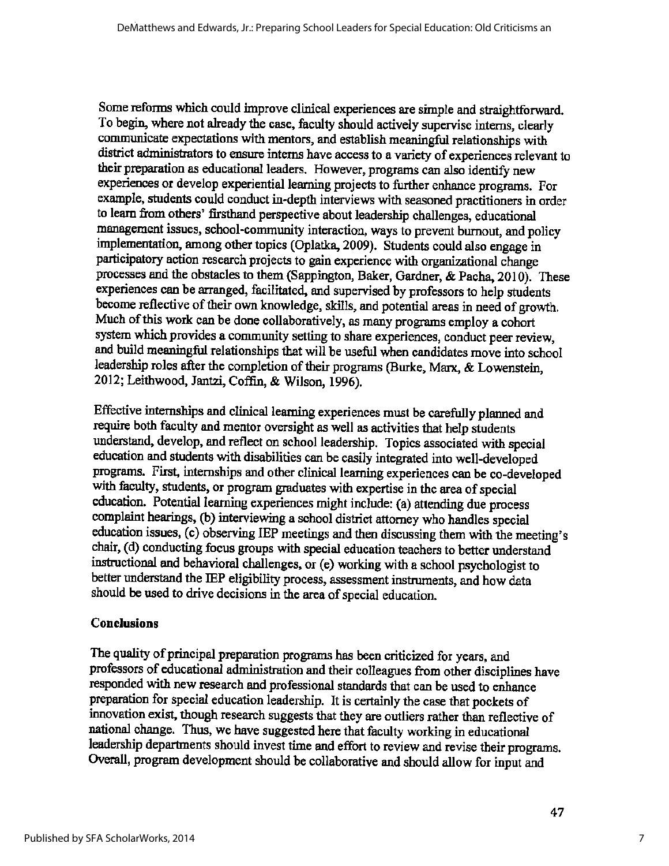Some reforms which could improve clinical experiences are simple and straightforward. To begin, where not already the case, faculty should actively supervise interns, clearly communicate expectations with mentors, and establish meaningful relationships with district administrators to ensure interns have access to a variety of experiences relevant to their preparation as educational leaders. However, programs can also identify new experiences or develop experiential learning projects to further enhance programs. For example, students could conduct in-depth interviews with seasoned practitioners in order to learn from others' firsthand perspective about leadership challenges, educational management issues, school-community interaction, ways to prevent burnout, and policy implementation, among other topics (Oplatka, 2009). Students could also engage in participatory action research projects to gain experience with organizational change processes and the obstacles to them (Sappington, Baker, Gardner, & Pacba, 2010). These experiences can be arranged, facilitated, and supervised by professors to help students become reflective of their own knowledge, skills, and potential areas in need of growth. Much of this work can be done collaboratively, as many programs employ a cohort system which provides a community setting to share experiences, conduct peer review, and build meaningful relationships that will be useful when candidates move into school leadership roles after the completion of their programs {Burke, Marx, & Lowenstein, 2012; Leithwood, Jantzi, Coffin, & Wilson, 1996).

Effective internships and clinical learning experiences must be carefully planned and require both faculty and mentor oversight as well as activities that help students understand, develop, and reflect on school leadership. Topics associated with special education and students with disabilities can be easily integrated into well-developed programs. First, internships and other clinical learning experiences can be co-developed with faculty, students, or program graduates with expertise in the area of special education. Potential learning experiences might include: (a) attending due process complaint hearings, (b) interviewing a school district attorney who handles special education issues, (c) observing IEP meetings and then discussing them with the meeting's chair, { d) conducting focus groups with special education teachers to better understand instructional and behavioral challenges, or (e) working with a school psychologist to better understand the IBP eligibility process, assessment instruments, and how data should be used to drive decisions in the area of special education.

#### **Conclusions**

The quality of principal preparation programs has been criticized for years, and professors of educational administration and their colleagues from other disciplines have responded with new research and professional standards that can be used to enhance preparation for special education leadership. It is certainly the case that pockets of innovation exist, though research suggests that they are outliers rather than reflective of national change. Thus, we have suggested here that faculty working in educational leadership departments should invest time and effort to review and revise their programs. Overall, program development should be collaborative and should allow for input and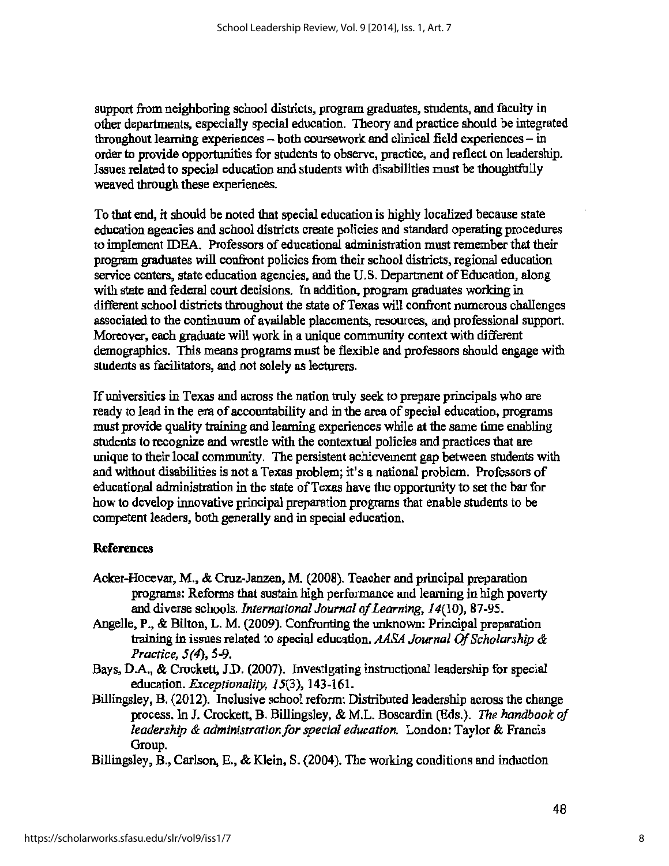support from neighboring school districts, program graduates, students, and faculty in other departments, especially special education. Theory and practice should be integrated throughout learning experiences  $-$  both coursework and clinical field experiences  $-$  in order to provide opportunities for students to observe, practice, and reflect on leadership. Issues related to special education and students with disabilities must be thoughtfully weaved through these experiences.

To that end, it should be noted that special education is highly localized because state education agencies and school districts create policies and standard operating procedures to implement IDEA. Professors of educational administration must remember that their program graduates will confront policies from their school districts, regional education service centers, state education agencies, and the U.S. Department of Education, along with state and federal court decisions. In addition, program graduates working in different school districts throughout the state of Texas will confront numerous challenges associated to the continuum of available placements, resources, and professional support. Moreover, each graduate will work in a unique community context with different demographics. This means programs must be flexible and professors should engage with students as facilitators, and not solely as lecturers.

If universities in Texas and across the nation truly seek to prepare principals who are ready to lead in the era of accountability and in the area of special education, programs must provide quality training and learning experiences while at the same time enabling students to recognize and wrestle with the contextual policies and practices that are unique to their local community. The persistent achievement gap between students with and without disabilities is not a Texas problem; it's a national problem. Professors of educational administration in the state of Texas have the opportunity to set the bar for how to develop innovative principal preparation programs that enable students to be competent leaders, both generally and in special education.

#### **References**

- Acker-Hocevar, M., & Cruz-Janzen, M. (2008). Teacher and principal preparation programs: Reforms that sustain high performance and learning in high poverty and diverse schools. *International Journal of Learning,* 14(10), 87-95.
- Angelle, P., & Bilton, L. M. (2009). Confronting the unknown: Principal preparation training in issues related to special education. *AASA Journal Of Scholarship* & *Practice, 5(4'), 5-9.*
- Bays, D.A., & Crockett, J.D. (2007). Investigating instructional leadership for special education. *Exceptionality,* 15(3), 143-161.
- Billingsley, B. (2012). Inclusive school reform: Distributed leadership across the change process. In J. Crockett, B. Billingsley, & M.L. Boscardin (Eds.). *The handbook of leadership* & *administration/or special education.* London: Taylor & Francis Group.
- Billingsley, B., Carlson, E., & Klein, S. (2004). The working conditions and induction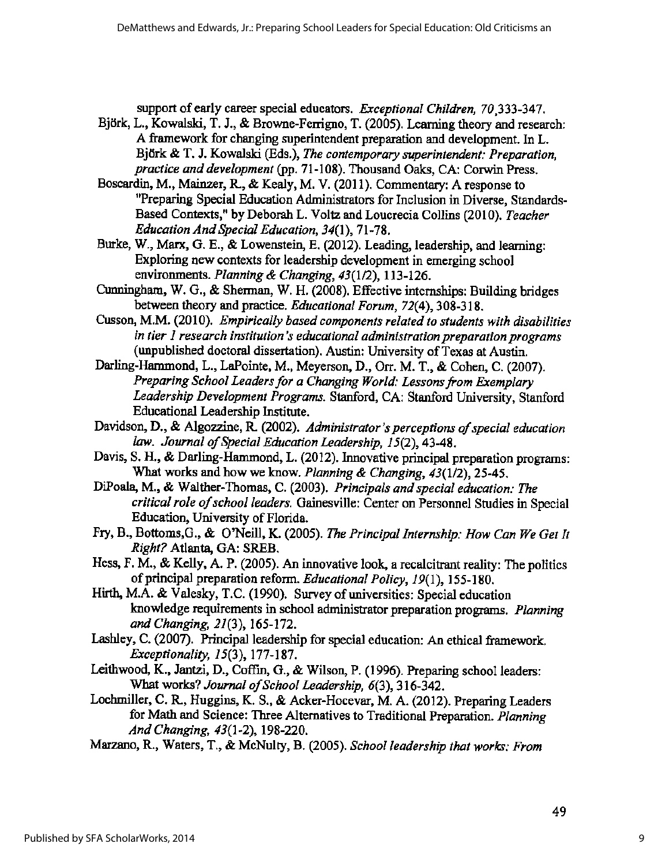support of early career special educators. *Exceptional Children*, 70,333-347.

- Björk, L., Kowalski, T. J., & Browne-Ferrigno, T. (2005). Learning theory and research: A framework for changing superintendent preparation and development. In L. Björk & T. J. Kowalski (Eds.), *The contemporary superintendent: Preparation*, *practice and development* (pp. 71-108). Thousand Oaks, CA: Corwin Press.
- Boscardin, M., Mainzer, R., & Kealy, M. V. (2011). Commentary: A response to <sup>11</sup>Preparing Special Education Administrators for Inclusion in Diverse, Standards-Based Contexts," by Deborah L. Voltz and Loucrecia Collins (2010). *Teacher Education And Special Education, 34(1* ), 71-78.
- Burke, W., Marx, G. E., & Lowenstein, E. (2012). Leading, leadership, and learning: Exploring new contexts for leadership development in emerging school environments. *Planning* & *Changing, 43(112),* 113-126.
- Cunningham, W. G., & Shennan, W. H. {2008). Effective internships: Building bridges between theory and practice. *Educational Forum, 72(* 4), 308-318.
- Cusson, **M.M.** (2010). *Empirically based components related to students with disabilities in tier 1 research institution's educational administration preparation programs*  (unpublished doctoral dissertation). Austin: University of Texas at Austin.
- Darling-Hammond, L., LaPointe, M., Meyerson, D., Orr. M. T., & Cohen, C. (2007). *Preparing School Leaders for a Changing World: Lessons from Exemplary Leadership Development Programs.* Stanford, CA: Stanford University, Stanford Educational Leadership Institute.
- Davidson, D., & Algozzine, R. (2002). *Administrator's perceptions of special education law. Journal of Special Education Leadership,* 15(2), 43-48.
- Davis, S. H., & Darling-Hammond, L. {2012). Innovative principal preparation programs: What works and how we know. *Planning & Changing,* 43(1/2), 25-45.
- DiPoala, M., & Walther-Thomas, C. (2003). *Principals and special education: The critical role of school leaders.* Gainesville: Center on Personnel Studies in Special Education, University of Florida.
- Fry, B., Bottoms,G., & O'Neill, K. (2005). *The Principal Internship: How Can We Get It Right?* Atlanta, GA: SREB.
- Hess, F. M., & Kelly, A. **P.** (2005). An innovative look, a recalcitrant reality: The politics of principal preparation reform. *Educational Policy,* 19(1), 155-180.
- Hirth, **M.A.** & Valesky, T.C. (1990). Survey of universities: Special education knowledge requirements in school administrator preparation programs. *Planning and Changing,* 21(3), 165-172.
- Lashley, C. (2007). Principal leadership for special education: An ethical framework. *Exceptionality,* 15(3), 177-187.
- Leithwood, K., Jantzi, D., Coffin, G., & Wilson, P. (1996). Preparing school leaders: What works? *Journal of School Leadership, 6(3),* 316-342.
- Lochmiller, C. R, Huggins, K. S., & Acker-Hocevar, M.A. (2012). Preparing Leaders for Math and Science: Three Alternatives to Traditional Preparation. *Planning And Changing, 43(1* -2), 198-220.
- Marzano, R., Waters, T., & McNulty, B. (2005). *School leadership that works: From*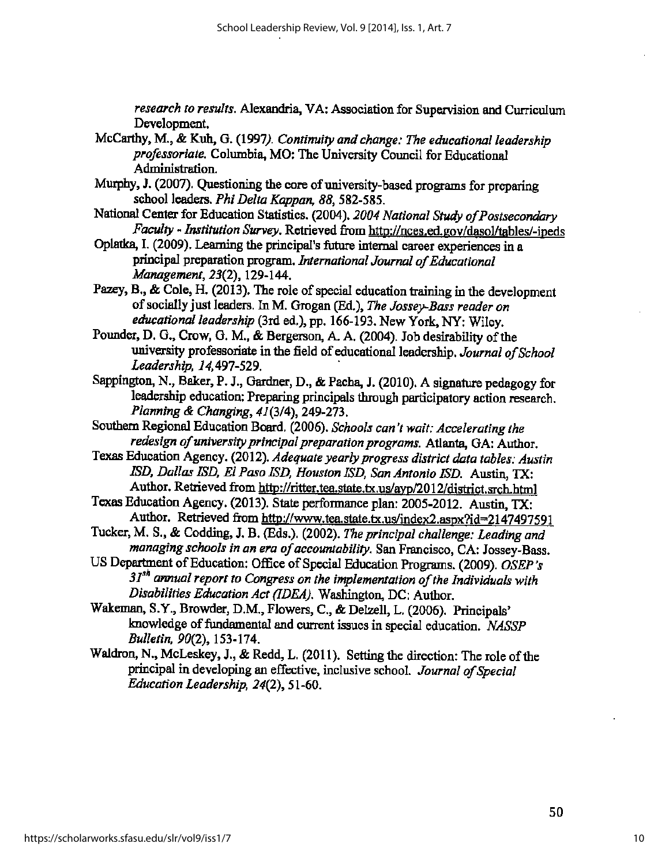*research to results.* Alexandria, VA: Association for Supervision and Cwriculwn Development.

- McCarthy, M., & Kuh, G. (1997). *Continuity and change: The educational leadership professoriate.* Columbia, MO: The University Council for Educational Administration:
- Murphy, J. (2007). Questioning the core of university-based programs for preparing school leaders. *Phi Delta Kappan, 88,* 582-585.
- National Center for Education Statistics. {2004). 2004 *National* Study *of Postsecondary Faculty - Institution Survey.* Retrieved from http://nces.ed.gov/dasol/tables/-ipeds
- Oplatka, I. (2009). Leaming the principal's future internal career experiences in <sup>a</sup> principal preparation program. *International Journal of Educational Management,* 23(2), 129-144.
- Pazey, B., & Cole, H. (2013). The role of special education training in the development of socially just leaders. In M·. Grogan (Ed.), *The Jossey-Bass reader on*  educational leadership (3rd ed.), pp. 166-193. New York, NY: Wiley.
- Pounder, D. G., Crow, G. M., & Bergerson, A A. (2004). Job desirability of the university professoriate in the field of educational leadershlp. *Journal of School Leadership, 14,491-529.* ·
- Sappington, N., Baker, P. J., Gardner, D., & Pacha, J. (2010). A signature pedagogy for leadership education: Preparing principals through participatory action research. *Planning & Changing,* 41(3/4), 249-273.
- Southern Regional Education Board. (2006). *Schools can 't wait: Accelerating the redesign of university principal preparation programs.* Atlanta, GA: Author.
- Texas Education Agency. (2012). *Adequate yearly progress district data tables: Austin ISD, Dallas !SD. El Paso ISD, Houston ISD, San Antonio !SD.* Austin, TX: Author. Retrieved from http://ritter.tea.state.tx.us/ayp/2012/district.srch.html
- Texas Education Agency. (2013). State performance plan: 2005-2012. Austin. TX: Author. Retrieved from http://www.tea.state.tx.us/index2.aspx?id=2147497591
- Tucker, M. S., & Codding, J. B. (Eds.). (2002). *The principal challenge: Leading and managing schools in an era of accountability.* San Francisco, CA: Jossey-Bass.
- US Department of Education: Office of Special Education Programs. (2009). *OSEP* 's *3 Jsh annual report to Congress on the implementation of the Individuals with Disabilities Education Act (IDEA).* Washington, DC: Author.
- Wakeman, S.Y., Browder, D.M., Flowers, C., & Delzell, L. (2006). Principals' knowledge of fundamental and current issues in special education. *NASSP Bulletin,* 90(2), 153-174.
- Waldron, N., McLeskey, J., & Redd, L. (2011}. Setting the direction: The role of the principal in developing an effective, inclusive school. *Journal of Special Education Leadership,* 24(2), 51-60.